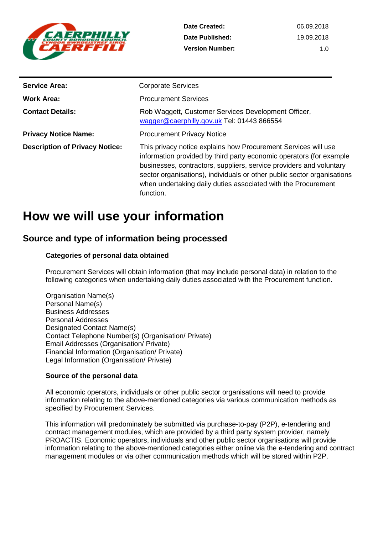

| <b>Service Area:</b>                  | <b>Corporate Services</b>                                                                                                                                                                                                                                                                                                                                             |
|---------------------------------------|-----------------------------------------------------------------------------------------------------------------------------------------------------------------------------------------------------------------------------------------------------------------------------------------------------------------------------------------------------------------------|
| <b>Work Area:</b>                     | <b>Procurement Services</b>                                                                                                                                                                                                                                                                                                                                           |
| <b>Contact Details:</b>               | Rob Waggett, Customer Services Development Officer,<br>wagger@caerphilly.gov.uk Tel: 01443 866554                                                                                                                                                                                                                                                                     |
| <b>Privacy Notice Name:</b>           | <b>Procurement Privacy Notice</b>                                                                                                                                                                                                                                                                                                                                     |
| <b>Description of Privacy Notice:</b> | This privacy notice explains how Procurement Services will use<br>information provided by third party economic operators (for example<br>businesses, contractors, suppliers, service providers and voluntary<br>sector organisations), individuals or other public sector organisations<br>when undertaking daily duties associated with the Procurement<br>function. |

# **How we will use your information**

### **Source and type of information being processed**

#### **Categories of personal data obtained**

Procurement Services will obtain information (that may include personal data) in relation to the following categories when undertaking daily duties associated with the Procurement function.

Organisation Name(s) Personal Name(s) Business Addresses Personal Addresses Designated Contact Name(s) Contact Telephone Number(s) (Organisation/ Private) Email Addresses (Organisation/ Private) Financial Information (Organisation/ Private) Legal Information (Organisation/ Private)

#### **Source of the personal data**

All economic operators, individuals or other public sector organisations will need to provide information relating to the above-mentioned categories via various communication methods as specified by Procurement Services.

This information will predominately be submitted via purchase-to-pay (P2P), e-tendering and contract management modules, which are provided by a third party system provider, namely PROACTIS. Economic operators, individuals and other public sector organisations will provide information relating to the above-mentioned categories either online via the e-tendering and contract management modules or via other communication methods which will be stored within P2P.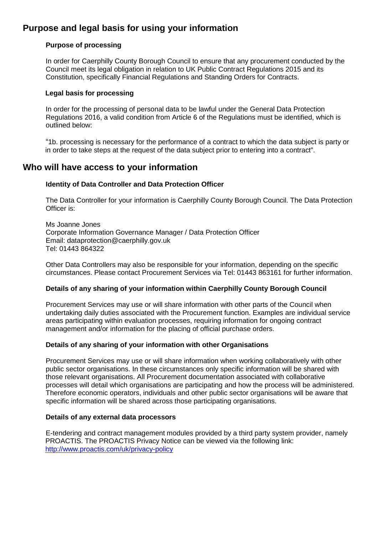## **Purpose and legal basis for using your information**

#### **Purpose of processing**

In order for Caerphilly County Borough Council to ensure that any procurement conducted by the Council meet its legal obligation in relation to UK Public Contract Regulations 2015 and its Constitution, specifically Financial Regulations and Standing Orders for Contracts.

#### **Legal basis for processing**

In order for the processing of personal data to be lawful under the General Data Protection Regulations 2016, a valid condition from Article 6 of the Regulations must be identified, which is outlined below:

"1b. processing is necessary for the performance of a contract to which the data subject is party or in order to take steps at the request of the data subject prior to entering into a contract".

### **Who will have access to your information**

#### **Identity of Data Controller and Data Protection Officer**

The Data Controller for your information is Caerphilly County Borough Council. The Data Protection Officer is:

Ms Joanne Jones Corporate Information Governance Manager / Data Protection Officer Email: dataprotection@caerphilly.gov.uk Tel: 01443 864322

Other Data Controllers may also be responsible for your information, depending on the specific circumstances. Please contact Procurement Services via Tel: 01443 863161 for further information.

#### **Details of any sharing of your information within Caerphilly County Borough Council**

Procurement Services may use or will share information with other parts of the Council when undertaking daily duties associated with the Procurement function. Examples are individual service areas participating within evaluation processes, requiring information for ongoing contract management and/or information for the placing of official purchase orders.

#### **Details of any sharing of your information with other Organisations**

Procurement Services may use or will share information when working collaboratively with other public sector organisations. In these circumstances only specific information will be shared with those relevant organisations. All Procurement documentation associated with collaborative processes will detail which organisations are participating and how the process will be administered. Therefore economic operators, individuals and other public sector organisations will be aware that specific information will be shared across those participating organisations.

#### **Details of any external data processors**

E-tendering and contract management modules provided by a third party system provider, namely PROACTIS. The PROACTIS Privacy Notice can be viewed via the following link: <http://www.proactis.com/uk/privacy-policy>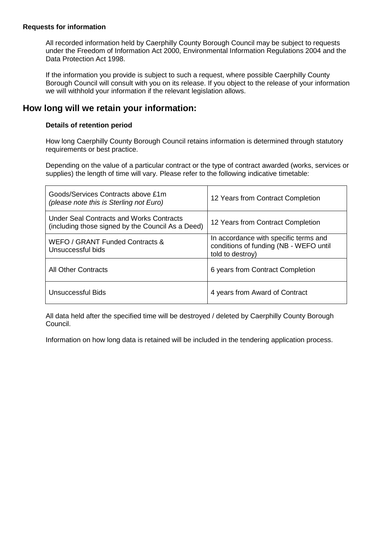#### **Requests for information**

All recorded information held by Caerphilly County Borough Council may be subject to requests under the Freedom of Information Act 2000, Environmental Information Regulations 2004 and the Data Protection Act 1998.

If the information you provide is subject to such a request, where possible Caerphilly County Borough Council will consult with you on its release. If you object to the release of your information we will withhold your information if the relevant legislation allows.

### **How long will we retain your information:**

#### **Details of retention period**

How long Caerphilly County Borough Council retains information is determined through statutory requirements or best practice.

Depending on the value of a particular contract or the type of contract awarded (works, services or supplies) the length of time will vary. Please refer to the following indicative timetable:

| Goods/Services Contracts above £1m<br>(please note this is Sterling not Euro)                 | 12 Years from Contract Completion                                                                   |
|-----------------------------------------------------------------------------------------------|-----------------------------------------------------------------------------------------------------|
| Under Seal Contracts and Works Contracts<br>(including those signed by the Council As a Deed) | 12 Years from Contract Completion                                                                   |
| WEFO / GRANT Funded Contracts &<br>Unsuccessful bids                                          | In accordance with specific terms and<br>conditions of funding (NB - WEFO until<br>told to destroy) |
| <b>All Other Contracts</b>                                                                    | 6 years from Contract Completion                                                                    |
| Unsuccessful Bids                                                                             | 4 years from Award of Contract                                                                      |

All data held after the specified time will be destroyed / deleted by Caerphilly County Borough Council.

Information on how long data is retained will be included in the tendering application process.